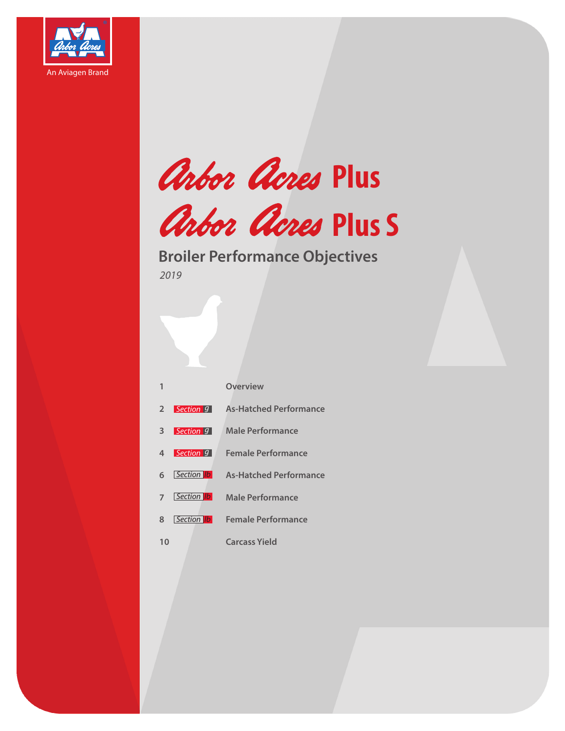





### **Broiler Performance Objectives**

*2019*

|                |                                | <b>Overview</b>               |
|----------------|--------------------------------|-------------------------------|
| $\overline{2}$ | $ $ Section $ g $              | <b>As-Hatched Performance</b> |
| 3              | $\mid$ Section $\mid$ 9 $\mid$ | <b>Male Performance</b>       |
| 4              | Section 9                      | <b>Female Performance</b>     |
| 6              | Section <b>Ib</b>              | <b>As-Hatched Performance</b> |
| $\overline{7}$ | Section   Ib                   | <b>Male Performance</b>       |
| 8              | Section  b                     | <b>Female Performance</b>     |
| 10             |                                | <b>Carcass Yield</b>          |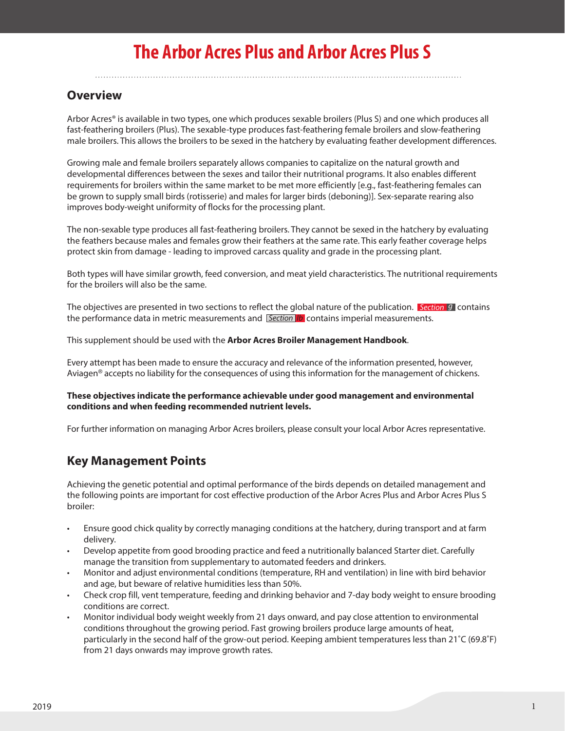## **The Arbor Acres Plus and Arbor Acres Plus S**

### **Overview**

Arbor Acres® is available in two types, one which produces sexable broilers (Plus S) and one which produces all fast-feathering broilers (Plus). The sexable-type produces fast-feathering female broilers and slow-feathering male broilers. This allows the broilers to be sexed in the hatchery by evaluating feather development differences.

Growing male and female broilers separately allows companies to capitalize on the natural growth and developmental differences between the sexes and tailor their nutritional programs. It also enables different requirements for broilers within the same market to be met more efficiently [e.g., fast-feathering females can be grown to supply small birds (rotisserie) and males for larger birds (deboning)]. Sex-separate rearing also improves body-weight uniformity of flocks for the processing plant.

The non-sexable type produces all fast-feathering broilers. They cannot be sexed in the hatchery by evaluating the feathers because males and females grow their feathers at the same rate. This early feather coverage helps protect skin from damage - leading to improved carcass quality and grade in the processing plant.

Both types will have similar growth, feed conversion, and meat yield characteristics. The nutritional requirements for the broilers will also be the same.

The objectives are presented in two sections to reflect the global nature of the publication. *Section g* contains the performance data in metric measurements and *Section lb* contains imperial measurements.

This supplement should be used with the **Arbor Acres Broiler Management Handbook**.

Every attempt has been made to ensure the accuracy and relevance of the information presented, however, Aviagen® accepts no liability for the consequences of using this information for the management of chickens.

#### **These objectives indicate the performance achievable under good management and environmental conditions and when feeding recommended nutrient levels.**

For further information on managing Arbor Acres broilers, please consult your local Arbor Acres representative.

### **Key Management Points**

Achieving the genetic potential and optimal performance of the birds depends on detailed management and the following points are important for cost effective production of the Arbor Acres Plus and Arbor Acres Plus S broiler:

- Ensure good chick quality by correctly managing conditions at the hatchery, during transport and at farm delivery.
- Develop appetite from good brooding practice and feed a nutritionally balanced Starter diet. Carefully manage the transition from supplementary to automated feeders and drinkers.
- Monitor and adjust environmental conditions (temperature, RH and ventilation) in line with bird behavior and age, but beware of relative humidities less than 50%.
- Check crop fill, vent temperature, feeding and drinking behavior and 7-day body weight to ensure brooding conditions are correct.
- Monitor individual body weight weekly from 21 days onward, and pay close attention to environmental conditions throughout the growing period. Fast growing broilers produce large amounts of heat, particularly in the second half of the grow-out period. Keeping ambient temperatures less than 21˚C (69.8˚F) from 21 days onwards may improve growth rates.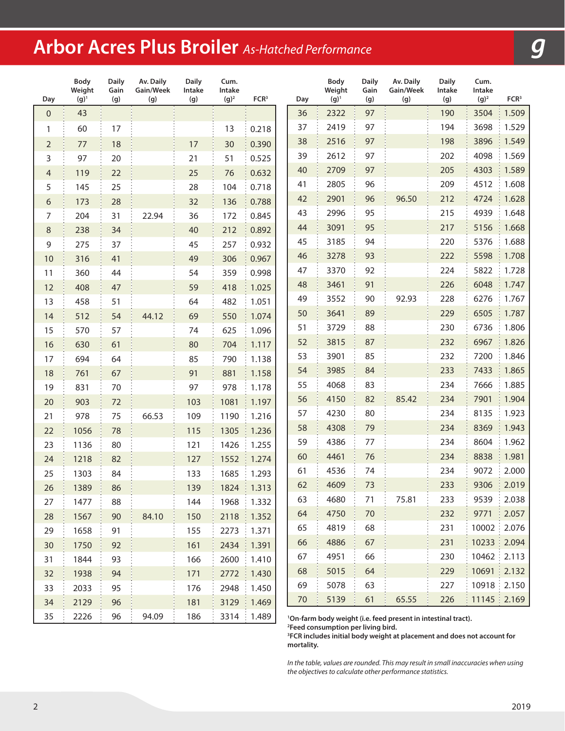# **Arbor Acres Plus Broiler** *As-Hatched Performance*

| Day              | Body<br>Weight<br>$(g)^1$ | <b>Daily</b><br>Gain<br>(g) | Av. Daily<br>Gain/Week<br>(g) | <b>Daily</b><br>Intake<br>(g) | Cum.<br>Intake<br>$(g)^2$ | FCR <sup>3</sup> | Day | Body<br>Weight<br>$(g)^{1}$ | <b>Daily</b><br>Gain<br>(g) | Av. Daily<br>Gain/Week<br>(g)                                             | <b>Daily</b><br>Intake<br>(g) | Cum.<br>Intake<br>$(g)^2$ | FCR <sup>3</sup> |
|------------------|---------------------------|-----------------------------|-------------------------------|-------------------------------|---------------------------|------------------|-----|-----------------------------|-----------------------------|---------------------------------------------------------------------------|-------------------------------|---------------------------|------------------|
| $\boldsymbol{0}$ | 43                        |                             |                               |                               |                           |                  | 36  | 2322                        | 97                          |                                                                           | 190                           | 3504                      | 1.509            |
| 1                | 60                        | 17                          |                               |                               | 13                        | 0.218            | 37  | 2419                        | 97                          |                                                                           | 194                           | 3698                      | 1.529            |
| $\overline{2}$   | 77                        | 18                          |                               | 17                            | 30                        | 0.390            | 38  | 2516                        | 97                          |                                                                           | 198                           | 3896                      | 1.549            |
| 3                | 97                        | 20                          |                               | 21                            | 51                        | 0.525            | 39  | 2612                        | 97                          |                                                                           | 202                           | 4098                      | 1.569            |
| $\overline{a}$   | 119                       | 22                          |                               | 25                            | 76                        | 0.632            | 40  | 2709                        | 97                          |                                                                           | 205                           | 4303                      | 1.589            |
| 5                | 145                       | 25                          |                               | 28                            | 104                       | 0.718            | 41  | 2805                        | 96                          |                                                                           | 209                           | 4512                      | 1.608            |
| 6                | 173                       | 28                          |                               | 32                            | 136                       | 0.788            | 42  | 2901                        | 96                          | 96.50                                                                     | 212                           | 4724                      | 1.628            |
| 7                | 204                       | 31                          | 22.94                         | 36                            | 172                       | 0.845            | 43  | 2996                        | 95                          |                                                                           | 215                           | 4939                      | 1.648            |
| $\,8\,$          | 238                       | 34                          |                               | 40                            | 212                       | 0.892            | 44  | 3091                        | 95                          |                                                                           | 217                           | 5156                      | 1.668            |
| 9                | 275                       | 37                          |                               | 45                            | 257                       | 0.932            | 45  | 3185                        | 94                          |                                                                           | 220                           | 5376                      | 1.688            |
| 10               | 316                       | 41                          |                               | 49                            | 306                       | 0.967            | 46  | 3278                        | 93                          |                                                                           | 222                           | 5598                      | 1.708            |
| 11               | 360                       | 44                          |                               | 54                            | 359                       | 0.998            | 47  | 3370                        | 92                          |                                                                           | 224                           | 5822                      | 1.728            |
| 12               | 408                       | 47                          |                               | 59                            | 418                       | 1.025            | 48  | 3461                        | 91                          |                                                                           | 226                           | 6048                      | 1.747            |
| 13               | 458                       | 51                          |                               | 64                            | 482                       | 1.051            | 49  | 3552                        | 90                          | 92.93                                                                     | 228                           | 6276                      | 1.767            |
| 14               | 512                       | 54                          | 44.12                         | 69                            | 550                       | 1.074            | 50  | 3641                        | 89                          |                                                                           | 229                           | 6505                      | 1.787            |
| 15               | 570                       | 57                          |                               | 74                            | 625                       | 1.096            | 51  | 3729                        | 88                          |                                                                           | 230                           | 6736                      | 1.806            |
| 16               | 630                       | 61                          |                               | 80                            | 704                       | 1.117            | 52  | 3815                        | 87                          |                                                                           | 232                           | 6967                      | 1.826            |
| 17               | 694                       | 64                          |                               | 85                            | 790                       | 1.138            | 53  | 3901                        | 85                          |                                                                           | 232                           | 7200                      | 1.846            |
| 18               | 761                       | 67                          |                               | 91                            | 881                       | 1.158            | 54  | 3985                        | 84                          |                                                                           | 233                           | 7433                      | 1.865            |
| 19               | 831                       | 70                          |                               | 97                            | 978                       | 1.178            | 55  | 4068                        | 83                          |                                                                           | 234                           | 7666                      | 1.885            |
| 20               | 903                       | 72                          |                               | 103                           | 1081                      | 1.197            | 56  | 4150                        | 82                          | 85.42                                                                     | 234                           | 7901                      | 1.904            |
| 21               | 978                       | 75                          | 66.53                         | 109                           | 1190                      | 1.216            | 57  | 4230                        | 80                          |                                                                           | 234                           | 8135                      | 1.923            |
| 22               | 1056                      | 78                          |                               | 115                           | 1305                      | 1.236            | 58  | 4308                        | 79                          |                                                                           | 234                           | 8369                      | 1.943            |
| 23               | 1136                      | 80                          |                               | 121                           | 1426                      | 1.255            | 59  | 4386                        | 77                          |                                                                           | 234                           | 8604                      | 1.962            |
| 24               | 1218                      | 82                          |                               | 127                           | 1552                      | 1.274            | 60  | 4461                        | 76                          |                                                                           | 234                           | 8838                      | 1.981            |
| 25               | 1303                      | 84                          |                               | 133                           | 1685                      | 1.293            | 61  | 4536                        | 74                          |                                                                           | 234                           | 9072                      | 2.000            |
| 26               | 1389                      | 86                          |                               | 139                           |                           | 1824   1.313     | 62  | 4609                        | 73                          |                                                                           | 233                           | 9306                      | 2.019            |
| 27               | 1477                      | 88                          |                               | 144                           | 1968                      | 1.332            | 63  | 4680                        | 71                          | 75.81                                                                     | 233                           | 9539                      | 2.038            |
| 28               | 1567                      | 90                          | 84.10                         | 150                           | 2118                      | 1.352            | 64  | 4750                        | 70                          |                                                                           | 232                           | 9771                      | 2.057            |
| 29               | 1658                      | 91                          |                               | 155                           | 2273                      | 1.371            | 65  | 4819                        | 68                          |                                                                           | 231                           | 10002                     | 2.076<br>÷       |
| 30               | 1750                      | 92                          |                               | 161                           | 2434                      | 1.391            | 66  | 4886                        | 67                          |                                                                           | 231                           | 10233 2.094               |                  |
| 31               | 1844                      | 93                          |                               | 166                           | 2600                      | 1.410            | 67  | 4951                        | 66                          |                                                                           | 230                           | 10462   2.113             |                  |
| 32               | 1938                      | 94                          |                               | 171                           | 2772                      | 1.430<br>÷       | 68  | 5015                        | 64                          |                                                                           | 229                           | 10691   2.132             |                  |
| 33               | 2033                      | 95                          |                               | 176                           | 2948                      | 1.450            | 69  | 5078                        | 63                          |                                                                           | 227                           | $10918 \div 2.150$        |                  |
| 34               | 2129                      | 96                          |                               | 181                           | 3129                      | 1.469            | 70  | 5139                        | 61                          | 65.55                                                                     | 226                           | 11145   2.169             |                  |
| 35               | 2226                      | 96                          | 94.09                         | 186                           |                           | 3314 : 1.489     |     |                             |                             | <sup>1</sup> On-farm body weight (i.e. feed present in intestinal tract). |                               |                           |                  |

**Feed consumption per living bird.**

 **FCR includes initial body weight at placement and does not account for mortality.**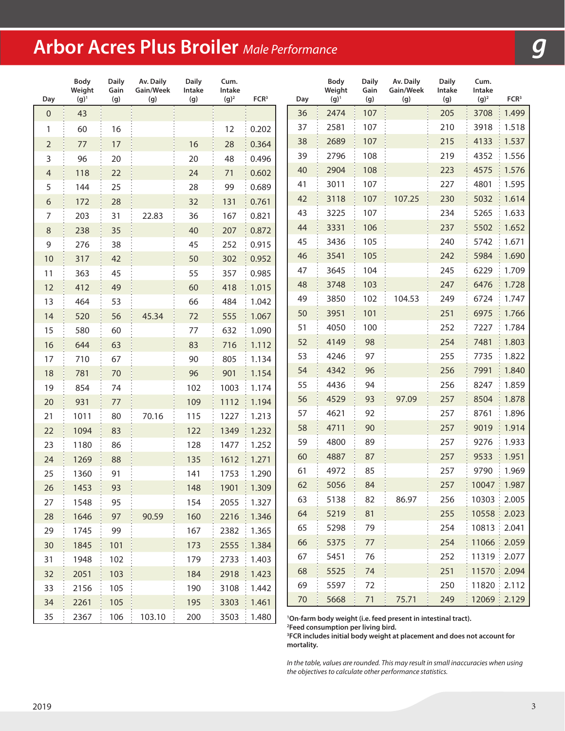# **Arbor Acres Plus Broiler** *Male Performance*

| Day            | Body<br>Weight<br>$(g)^1$ | <b>Daily</b><br>Gain<br>(g) | Av. Daily<br>Gain/Week<br>(g) | <b>Daily</b><br>Intake<br>(g) | Cum.<br>Intake<br>$(g)^2$ | FCR <sup>3</sup>    | Day | Body<br>Weight<br>$(g)^1$ | <b>Daily</b><br>Gain<br>(g) | Av. Daily<br>Gain/Week<br>(g)                                             | <b>Daily</b><br>Intake<br>(g) | Cum.<br>Intake<br>$(g)^2$ | FCR <sup>3</sup> |
|----------------|---------------------------|-----------------------------|-------------------------------|-------------------------------|---------------------------|---------------------|-----|---------------------------|-----------------------------|---------------------------------------------------------------------------|-------------------------------|---------------------------|------------------|
| $\mathbf 0$    | 43                        |                             |                               |                               |                           |                     | 36  | 2474                      | 107                         |                                                                           | 205                           | 3708                      | 1.499            |
| 1              | 60                        | 16                          |                               |                               | 12                        | 0.202               | 37  | 2581                      | 107                         |                                                                           | 210                           | 3918                      | 1.518            |
| $\overline{2}$ | 77                        | 17                          |                               | 16                            | 28                        | 0.364               | 38  | 2689                      | 107                         |                                                                           | 215                           | 4133                      | 1.537            |
| 3              | 96                        | 20                          |                               | 20                            | 48                        | 0.496               | 39  | 2796                      | 108                         |                                                                           | 219                           | 4352                      | 1.556            |
| $\overline{4}$ | 118                       | 22                          |                               | 24                            | 71                        | 0.602               | 40  | 2904                      | 108                         |                                                                           | 223                           | 4575                      | 1.576            |
| 5              | 144                       | 25                          |                               | 28                            | 99                        | 0.689               | 41  | 3011                      | 107                         |                                                                           | 227                           | 4801                      | 1.595            |
| $\sqrt{6}$     | 172                       | 28                          |                               | 32                            | 131                       | 0.761               | 42  | 3118                      | 107                         | 107.25                                                                    | 230                           | 5032                      | 1.614            |
| $\overline{7}$ | 203                       | 31                          | 22.83                         | 36                            | 167                       | 0.821               | 43  | 3225                      | 107                         |                                                                           | 234                           | 5265                      | 1.633            |
| $\,8\,$        | 238                       | 35                          |                               | 40                            | 207                       | 0.872               | 44  | 3331                      | 106                         |                                                                           | 237                           | 5502                      | 1.652            |
| $\mathsf 9$    | 276                       | 38                          |                               | 45                            | 252                       | 0.915               | 45  | 3436                      | 105                         |                                                                           | 240                           | 5742                      | 1.671            |
| 10             | 317                       | 42                          |                               | 50                            | 302                       | 0.952               | 46  | 3541                      | 105                         |                                                                           | 242                           | 5984                      | 1.690            |
| 11             | 363                       | 45                          |                               | 55                            | 357                       | 0.985               | 47  | 3645                      | 104                         |                                                                           | 245                           | 6229                      | 1.709            |
| 12             | 412                       | 49                          |                               | 60                            | 418                       | 1.015               | 48  | 3748                      | 103                         |                                                                           | 247                           | 6476                      | 1.728            |
| 13             | 464                       | 53                          |                               | 66                            | 484                       | 1.042               | 49  | 3850                      | 102                         | 104.53                                                                    | 249                           | 6724                      | 1.747            |
| 14             | 520                       | 56                          | 45.34                         | 72                            | 555                       | 1.067               | 50  | 3951                      | 101                         |                                                                           | 251                           | 6975                      | 1.766            |
| 15             | 580                       | 60                          |                               | 77                            | 632                       | 1.090               | 51  | 4050                      | 100                         |                                                                           | 252                           | 7227                      | 1.784            |
| 16             | 644                       | 63                          |                               | 83                            | 716                       | 1.112               | 52  | 4149                      | 98                          |                                                                           | 254                           | 7481                      | 1.803            |
| 17             | 710                       | 67                          |                               | 90                            | 805                       | 1.134               | 53  | 4246                      | 97                          |                                                                           | 255                           | 7735                      | 1.822            |
| 18             | 781                       | 70                          |                               | 96                            | 901                       | 1.154               | 54  | 4342                      | 96                          |                                                                           | 256                           | 7991                      | 1.840            |
| 19             | 854                       | 74                          |                               | 102                           | 1003                      | 1.174               | 55  | 4436                      | 94                          |                                                                           | 256                           | 8247                      | 1.859            |
| 20             | 931                       | $77$                        |                               | 109                           | 1112                      | 1.194               | 56  | 4529                      | 93                          | 97.09                                                                     | 257                           | 8504                      | 1.878            |
| 21             | 1011                      | 80                          | 70.16                         | 115                           | 1227                      | 1.213               | 57  | 4621                      | 92                          |                                                                           | 257                           | 8761                      | 1.896            |
| 22             | 1094                      | 83                          |                               | 122                           | 1349                      | 1.232               | 58  | 4711                      | 90                          |                                                                           | 257                           | 9019                      | 1.914            |
| 23             | 1180                      | 86                          |                               | 128                           | 1477                      | 1.252               | 59  | 4800                      | 89                          |                                                                           | 257                           | 9276                      | 1.933            |
| 24             | 1269                      | 88                          |                               | 135                           | 1612                      | 1.271               | 60  | 4887                      | 87                          |                                                                           | 257                           | 9533                      | 1.951            |
| 25             | 1360                      | 91                          |                               | 141                           | 1753                      | 1.290               | 61  | 4972                      | 85                          |                                                                           | 257                           | 9790                      | 1.969            |
| 26             | 1453                      | 93                          |                               | 148                           | 1901                      | 1.309               | 62  | 5056                      | 84                          |                                                                           | 257                           | 10047   1.987             |                  |
| 27             | 1548                      | 95                          |                               | 154                           | 2055                      | $\frac{1}{2}$ 1.327 | 63  | 5138                      | 82                          | 86.97                                                                     | 256                           | 10303   2.005             |                  |
| 28             | 1646                      | 97                          | 90.59                         | 160                           | 2216                      | 1.346               | 64  | 5219                      | 81                          |                                                                           | 255                           | 10558 2.023               |                  |
| 29             | 1745                      | 99                          |                               | 167                           | 2382                      | 1.365               | 65  | 5298                      | 79                          |                                                                           | 254                           | 10813 2.041               |                  |
| 30             | 1845                      | 101                         |                               | 173                           | 2555                      | 1.384               | 66  | 5375                      | 77                          |                                                                           | 254                           | 11066 2.059               |                  |
| 31             | 1948                      | 102                         |                               | 179                           | 2733                      | 1.403               | 67  | 5451                      | 76                          |                                                                           | 252                           | 11319 : 2.077             |                  |
| 32             | 2051                      | 103                         |                               | 184                           | 2918                      | 1.423               | 68  | 5525                      | 74                          |                                                                           | 251                           | 11570 2.094               |                  |
| 33             | 2156                      | 105                         |                               | 190                           | 3108                      | 1.442               | 69  | 5597                      | 72                          |                                                                           | 250                           | 11820   2.112             |                  |
| 34             | 2261                      | 105                         |                               | 195                           | 3303                      | 1.461               | 70  | 5668                      | 71                          | 75.71                                                                     | 249                           | 12069   2.129             |                  |
| 35             | 2367                      | 106                         | 103.10                        | 200                           | 3503                      | 1.480               |     |                           |                             | <sup>1</sup> On-farm body weight (i.e. feed present in intestinal tract). |                               |                           |                  |

**Feed consumption per living bird.**

 **FCR includes initial body weight at placement and does not account for mortality.**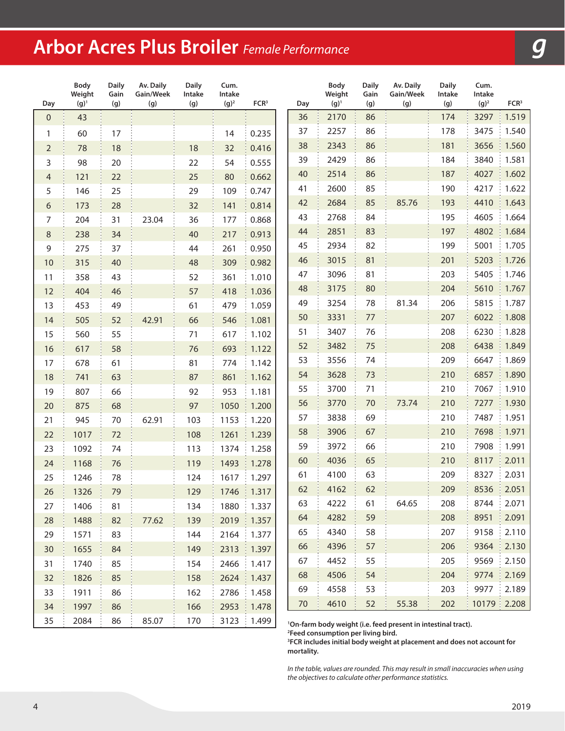# **Arbor Acres Plus Broiler** *Female Performance*

| Day                 | <b>Body</b><br>Weight<br>$(g)^1$ | <b>Daily</b><br>Gain<br>(g) | Av. Daily<br>Gain/Week<br>(g) | <b>Daily</b><br>Intake<br>(g) | Cum.<br>Intake<br>$(g)^2$ | FCR <sup>3</sup>    | Day | <b>Body</b><br>Weight<br>$(g)^1$ | <b>Daily</b><br>Gain<br>(g) | Av. Daily<br>Gain/Week<br>(g)                                             | <b>Daily</b><br>Intake<br>(g) | Cum.<br>Intake<br>$(g)^2$ | FCR <sup>3</sup>    |
|---------------------|----------------------------------|-----------------------------|-------------------------------|-------------------------------|---------------------------|---------------------|-----|----------------------------------|-----------------------------|---------------------------------------------------------------------------|-------------------------------|---------------------------|---------------------|
| $\mathsf{O}\xspace$ | 43                               |                             |                               |                               |                           |                     | 36  | 2170                             | 86                          |                                                                           | 174                           | 3297                      | 1.519               |
| 1                   | 60                               | 17                          |                               |                               | 14                        | 0.235               | 37  | 2257                             | 86                          |                                                                           | 178                           | 3475                      | 1.540               |
| $\overline{2}$      | 78                               | 18                          |                               | 18                            | 32                        | 0.416               | 38  | 2343                             | 86                          |                                                                           | 181                           | 3656                      | 1.560               |
| 3                   | 98                               | 20                          |                               | 22                            | 54                        | 0.555               | 39  | 2429                             | 86                          |                                                                           | 184                           | 3840                      | 1.581               |
| 4                   | 121                              | 22                          |                               | 25                            | 80                        | 0.662               | 40  | 2514                             | 86                          |                                                                           | 187                           | 4027                      | 1.602               |
| 5                   | 146                              | 25                          |                               | 29                            | 109                       | 0.747               | 41  | 2600                             | 85                          |                                                                           | 190                           | 4217                      | 1.622               |
| 6                   | 173                              | 28                          |                               | 32                            | 141                       | 0.814               | 42  | 2684                             | 85                          | 85.76                                                                     | 193                           | 4410                      | 1.643               |
| 7                   | 204                              | 31                          | 23.04                         | 36                            | 177                       | 0.868               | 43  | 2768                             | 84                          |                                                                           | 195                           | 4605                      | 1.664               |
| $\,8\,$             | 238                              | 34                          |                               | 40                            | 217                       | 0.913               | 44  | 2851                             | 83                          |                                                                           | 197                           | 4802                      | 1.684               |
| 9                   | 275                              | 37                          |                               | 44                            | 261                       | 0.950               | 45  | 2934                             | 82                          |                                                                           | 199                           | 5001                      | 1.705               |
| 10                  | 315                              | 40                          |                               | 48                            | 309                       | 0.982               | 46  | 3015                             | 81                          |                                                                           | 201                           | 5203                      | 1.726               |
| 11                  | 358                              | 43                          |                               | 52                            | 361                       | 1.010               | 47  | 3096                             | 81                          |                                                                           | 203                           | 5405                      | 1.746               |
| 12                  | 404                              | 46                          |                               | 57                            | 418                       | 1.036               | 48  | 3175                             | 80                          |                                                                           | 204                           | 5610                      | 1.767               |
| 13                  | 453                              | 49                          |                               | 61                            | 479                       | 1.059               | 49  | 3254                             | 78                          | 81.34                                                                     | 206                           | 5815                      | 1.787               |
| 14                  | 505                              | 52                          | 42.91                         | 66                            | 546                       | 1.081               | 50  | 3331                             | $77$                        |                                                                           | 207                           | 6022                      | 1.808               |
| 15                  | 560                              | 55                          |                               | 71                            | 617                       | 1.102               | 51  | 3407                             | 76                          |                                                                           | 208                           | 6230                      | 1.828               |
| 16                  | 617                              | 58                          |                               | 76                            | 693                       | 1.122               | 52  | 3482                             | 75                          |                                                                           | 208                           | 6438                      | 1.849               |
| 17                  | 678                              | 61                          |                               | 81                            | 774                       | 1.142               | 53  | 3556                             | 74                          |                                                                           | 209                           | 6647                      | 1.869               |
| 18                  | 741                              | 63                          |                               | 87                            | 861                       | 1.162               | 54  | 3628                             | 73                          |                                                                           | 210                           | 6857                      | 1.890               |
| 19                  | 807                              | 66                          |                               | 92                            | 953                       | 1.181               | 55  | 3700                             | 71                          |                                                                           | 210                           | 7067                      | 1.910               |
| 20                  | 875                              | 68                          |                               | 97                            | 1050                      | 1.200               | 56  | 3770                             | 70                          | 73.74                                                                     | 210                           | 7277                      | 1.930               |
| 21                  | 945                              | 70                          | 62.91                         | 103                           | 1153                      | 1.220               | 57  | 3838                             | 69                          |                                                                           | 210                           | 7487                      | 1.951               |
| 22                  | 1017                             | 72                          |                               | 108                           | 1261                      | 1.239               | 58  | 3906                             | 67                          |                                                                           | 210                           | 7698                      | 1.971               |
| 23                  | 1092                             | 74                          |                               | 113                           | 1374                      | 1.258               | 59  | 3972                             | 66                          |                                                                           | 210                           | 7908                      | 1.991               |
| 24                  | 1168                             | 76                          |                               | 119                           | 1493                      | 1.278               | 60  | 4036                             | 65                          |                                                                           | 210                           | 8117                      | 2.011               |
| 25                  | 1246                             | 78                          |                               | 124                           | 1617                      | 1.297               | 61  | 4100                             | 63                          |                                                                           | 209                           | 8327                      | 2.031               |
| 26                  | 1326                             | 79                          |                               | 129                           | 1746                      | 1.317               | 62  | 4162                             | 62                          |                                                                           | 209                           | 8536                      | 2.051               |
| 27                  | 1406                             | 81                          |                               | 134                           | 1880                      | $\frac{1}{2}$ 1.337 | 63  | 4222                             | 61                          | 64.65                                                                     | 208                           | 8744                      | 2.071               |
| 28                  | 1488                             | 82                          | 77.62                         | 139                           | 2019                      | 1.357               | 64  | 4282                             | 59                          |                                                                           | 208                           | 8951                      | : 2.091             |
| 29                  | 1571                             | 83                          |                               | 144                           | 2164                      | 1.377<br>÷          | 65  | 4340                             | 58                          |                                                                           | 207                           | 9158                      | 2.110               |
| 30                  | 1655                             | 84                          |                               | 149                           | 2313                      | 1.397               | 66  | 4396                             | 57                          |                                                                           | 206                           | 9364                      | $\frac{1}{2}$ 2.130 |
| 31                  | 1740                             | 85                          |                               | 154                           | 2466                      | 1.417               | 67  | 4452                             | 55                          |                                                                           | 205                           | 9569                      | 2.150               |
| 32                  | 1826                             | 85                          |                               | 158                           | 2624                      | 1.437<br>Ŧ          | 68  | 4506                             | 54                          |                                                                           | 204                           | 9774                      | 2.169               |
| 33                  | 1911                             | 86                          |                               | 162                           | 2786                      | 1.458               | 69  | 4558                             | 53                          |                                                                           | 203                           | 9977                      | 2.189               |
| 34                  | 1997                             | 86                          |                               | 166                           | 2953                      | 1.478<br>÷          | 70  | 4610                             | 52                          | 55.38                                                                     | 202                           | 10179 2.208               |                     |
| 35                  | 2084                             | 86                          | 85.07                         | 170                           | 3123 :                    | 1.499               |     |                                  |                             | <sup>1</sup> On-farm body weight (i.e. feed present in intestinal tract). |                               |                           |                     |

 **On-farm body weight (i.e. feed present in intestinal tract). Feed consumption per living bird.**

 **FCR includes initial body weight at placement and does not account for mortality.**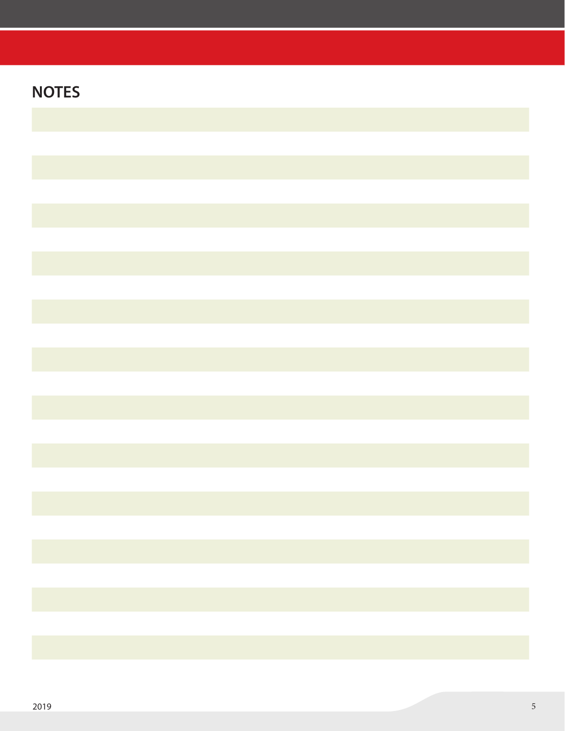| <b>NOTES</b> |  |
|--------------|--|
|              |  |
|              |  |
|              |  |
|              |  |
|              |  |
|              |  |
|              |  |
|              |  |
|              |  |
|              |  |
|              |  |
|              |  |
|              |  |
|              |  |
|              |  |
|              |  |
|              |  |
|              |  |
|              |  |
|              |  |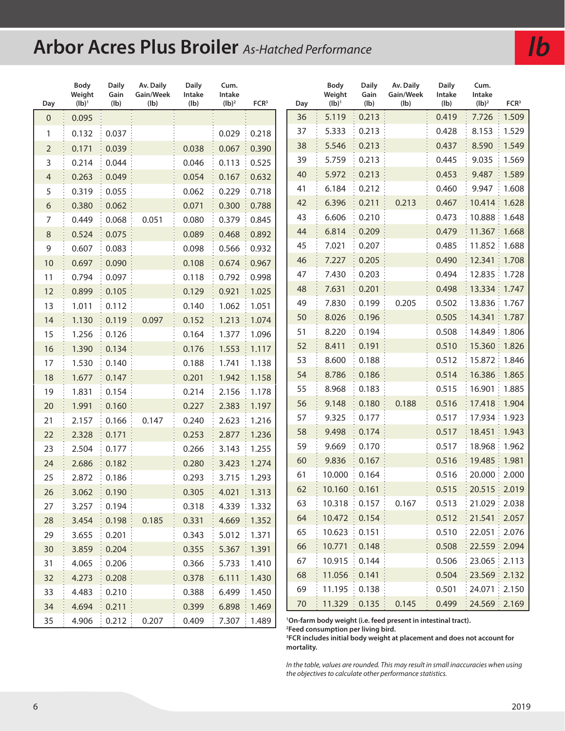# **Arbor Acres Plus Broiler** *As-Hatched Performance*

| Day            | Body<br>Weight<br>$(Ib)^1$ | <b>Daily</b><br>Gain<br>(Ib) | Av. Daily<br>Gain/Week<br>(Ib) | <b>Daily</b><br>Intake<br>(Ib) | Cum.<br>Intake<br>$(Ib)^2$ | FCR <sup>3</sup>    | Day |    | Body<br>Weight<br>$(Ib)^1$ | <b>Daily</b><br>Gain<br>(Ib) | Av. Daily<br>Gain/Week<br>(Ib)                                            | <b>Daily</b><br>Intake<br>(Ib) | Cum.<br>Intake<br>$(Ib)^2$               | FCR <sup>3</sup>    |
|----------------|----------------------------|------------------------------|--------------------------------|--------------------------------|----------------------------|---------------------|-----|----|----------------------------|------------------------------|---------------------------------------------------------------------------|--------------------------------|------------------------------------------|---------------------|
| 0              | 0.095                      |                              |                                |                                |                            |                     |     | 36 | 5.119                      | 0.213                        |                                                                           | 0.419                          | 7.726                                    | 1.509               |
| 1              | 0.132                      | 0.037                        |                                |                                | 0.029                      | 0.218               |     | 37 | 5.333                      | 0.213                        |                                                                           | 0.428                          | 8.153                                    | 1.529               |
| $\overline{2}$ | 0.171                      | 0.039                        |                                | 0.038                          | 0.067                      | 0.390               |     | 38 | 5.546                      | 0.213                        |                                                                           | 0.437                          | 8.590                                    | 1.549               |
| 3              | 0.214                      | 0.044                        |                                | 0.046                          | 0.113                      | 0.525               |     | 39 | 5.759                      | 0.213                        |                                                                           | 0.445                          | 9.035                                    | 1.569               |
| $\overline{4}$ | 0.263                      | 0.049                        |                                | 0.054                          | 0.167                      | 0.632               |     | 40 | 5.972                      | 0.213                        |                                                                           | 0.453                          | 9.487                                    | 1.589               |
| 5              | 0.319                      | 0.055                        |                                | 0.062                          | 0.229                      | 0.718               |     | 41 | 6.184                      | 0.212                        |                                                                           | 0.460                          | 9.947                                    | 1.608               |
| 6              | 0.380                      | 0.062                        |                                | 0.071                          | 0.300                      | 0.788               |     | 42 | 6.396                      | 0.211                        | 0.213                                                                     | 0.467                          | 10.414                                   | 1.628               |
| 7              | 0.449                      | 0.068                        | 0.051                          | 0.080                          | 0.379                      | 0.845               |     | 43 | 6.606                      | 0.210                        |                                                                           | 0.473                          | 10.888                                   | $\frac{1}{2}$ 1.648 |
| $\, 8$         | 0.524                      | 0.075                        |                                | 0.089                          | 0.468                      | 0.892               |     | 44 | 6.814                      | 0.209                        |                                                                           | 0.479                          | $11.367 \div 1.668$                      |                     |
| 9              | 0.607                      | 0.083                        |                                | 0.098                          | 0.566                      | 0.932               |     | 45 | 7.021                      | 0.207                        |                                                                           | 0.485                          | 11.852   1.688                           |                     |
| 10             | 0.697                      | 0.090                        |                                | 0.108                          | 0.674                      | 0.967<br>÷          |     | 46 | 7.227                      | 0.205                        |                                                                           | 0.490                          | 12.341   1.708                           |                     |
| 11             | 0.794                      | 0.097                        |                                | 0.118                          | 0.792                      | 0.998               |     | 47 | 7.430                      | 0.203                        |                                                                           | 0.494                          | 12.835 : 1.728                           |                     |
| 12             | 0.899                      | 0.105                        |                                | 0.129                          | 0.921                      | 1.025               |     | 48 | 7.631                      | 0.201                        |                                                                           | 0.498                          | 13.334   1.747                           |                     |
| 13             | 1.011                      | 0.112                        |                                | 0.140                          | 1.062                      | 1.051               |     | 49 | 7.830                      | 0.199                        | 0.205                                                                     | 0.502                          | 13.836                                   | $\frac{1}{2}$ 1.767 |
| 14             | 1.130                      | 0.119                        | 0.097                          | 0.152                          | 1.213                      | 1.074               |     | 50 | 8.026                      | 0.196                        |                                                                           | 0.505                          | 14.341                                   | $\frac{1}{2}$ 1.787 |
| 15             | 1.256                      | 0.126                        |                                | 0.164                          | 1.377                      | 1.096               |     | 51 | 8.220                      | 0.194                        |                                                                           | 0.508                          | 14.849   1.806                           |                     |
| 16             | 1.390                      | 0.134                        |                                | 0.176                          | 1.553                      | 1.117               |     | 52 | 8.411                      | 0.191                        |                                                                           | 0.510                          | 15.360   1.826                           |                     |
| 17             | 1.530                      | 0.140                        |                                | 0.188                          | 1.741                      | 1.138               |     | 53 | 8.600                      | 0.188                        |                                                                           | 0.512                          | 15.872   1.846                           |                     |
| 18             | 1.677                      | 0.147                        |                                | 0.201                          | 1.942                      | 1.158               |     | 54 | 8.786                      | 0.186                        |                                                                           | 0.514                          | 16.386   1.865                           |                     |
| 19             | 1.831                      | 0.154                        |                                | 0.214                          | 2.156                      | 1.178               |     | 55 | 8.968                      | 0.183                        |                                                                           | 0.515                          | 16.901                                   | $\frac{1}{2}$ 1.885 |
| 20             | 1.991                      | 0.160                        |                                | 0.227                          | 2.383                      | 1.197               |     | 56 | 9.148                      | 0.180                        | 0.188                                                                     | 0.516                          | 17.418                                   | $\frac{1}{2}$ 1.904 |
| 21             | 2.157                      | 0.166                        | 0.147                          | 0.240                          | 2.623                      | 1.216               |     | 57 | 9.325                      | 0.177                        |                                                                           | 0.517                          | 17.934   1.923                           |                     |
| 22             | 2.328                      | 0.171                        |                                | 0.253                          | 2.877                      | 1.236<br>÷          |     | 58 | 9.498                      | 0.174                        |                                                                           | 0.517                          | 18.451   1.943                           |                     |
| 23             | 2.504                      | 0.177                        |                                | 0.266                          | 3.143                      | 1.255               |     | 59 | 9.669                      | 0.170                        |                                                                           | 0.517                          | 18.968   1.962                           |                     |
| 24             | 2.686                      | 0.182                        |                                | 0.280                          | 3.423                      | 1.274               |     | 60 | 9.836                      | 0.167                        |                                                                           | 0.516                          | 19.485                                   | $\frac{1}{2}$ 1.981 |
| 25             | 2.872                      | 0.186                        |                                | 0.293                          | 3.715                      | 1.293               |     | 61 | 10.000                     | 0.164                        |                                                                           | 0.516                          | 20.000   2.000                           |                     |
| 26             | 3.062                      | 0.190                        |                                | 0.305                          | 4.021                      | $\frac{1}{2}$ 1.313 |     | 62 | 10.160                     | : 0.161                      |                                                                           | 0.515                          | 20.515   2.019                           |                     |
| 27             | 3.257                      | 0.194                        |                                | 0.318                          | 4.339                      | 1.332<br>÷          |     | 63 | $10.318 \div 0.157$        |                              | 0.167                                                                     | 0.513                          | 21.029   2.038                           |                     |
| 28             | 3.454                      | 0.198                        | 0.185                          | 0.331                          | 4.669                      | 1.352               |     | 64 | $10.472 \div 0.154$        |                              |                                                                           | 0.512                          | : 21.541 : 2.057                         |                     |
| 29             | 3.655                      | 0.201                        |                                | 0.343                          | 5.012                      | $\frac{1}{2}$ 1.371 |     | 65 | 10.623                     | : 0.151                      |                                                                           | 0.510                          | 22.051 2.076                             |                     |
| 30             | 3.859                      | 0.204                        |                                | 0.355                          | 5.367                      | 1.391               |     | 66 | 10.771                     | 0.148                        |                                                                           | 0.508                          | 22.559 2.094                             |                     |
| 31             | 4.065                      | 0.206                        |                                | 0.366                          | 5.733                      | 1.410               |     | 67 | $10.915 \div 0.144$        |                              |                                                                           | 0.506                          | $23.065 \div 2.113$                      |                     |
| 32             | 4.273                      | 0.208                        |                                | 0.378                          | 6.111                      | $\frac{1}{2}$ 1.430 |     | 68 | 11.056                     | : 0.141                      |                                                                           | 0.504                          | 23.569   2.132                           |                     |
| 33             | 4.483                      | 0.210                        |                                | 0.388                          | 6.499                      | 1.450               |     | 69 | $11.195 \div 0.138$        |                              |                                                                           | 0.501                          | 24.071   2.150                           |                     |
| 34             | 4.694                      | 0.211                        |                                | 0.399                          | 6.898   1.469              |                     |     | 70 | 11.329 : 0.135 :           |                              | 0.145                                                                     | 0.499                          | $\frac{1}{2}$ 24.569 $\frac{1}{2}$ 2.169 |                     |
| 35             | 4.906                      | 0.212:                       | 0.207                          | 0.409                          | 7.307 : 1.489              |                     |     |    |                            |                              | <sup>1</sup> On-farm body weight (i.e. feed present in intestinal tract). |                                |                                          |                     |

**Feed consumption per living bird.**

 **FCR includes initial body weight at placement and does not account for mortality.**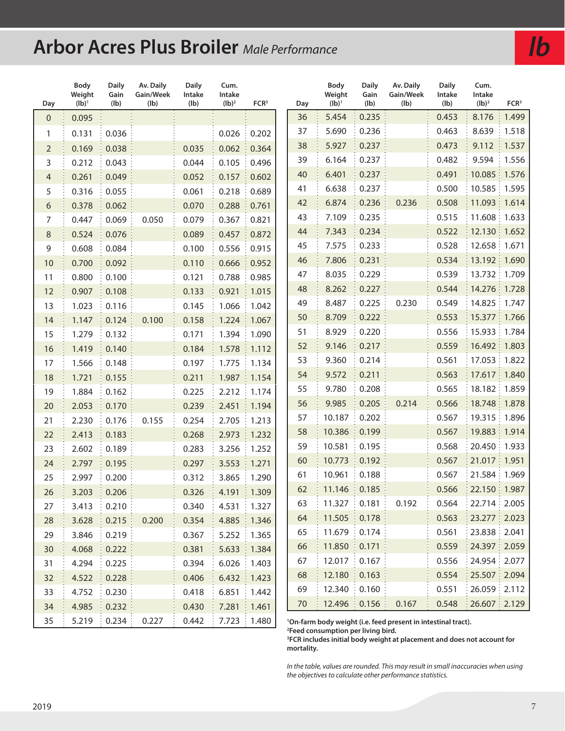# **Arbor Acres Plus Broiler** *Male Performance*

| Day            | Body<br>Weight<br>$(Ib)^1$ | <b>Daily</b><br>Gain<br>(lb) | Av. Daily<br>Gain/Week<br>(Ib) | <b>Daily</b><br>Intake<br>(Ib) | Cum.<br>Intake<br>$(Ib)^2$ | FCR <sup>3</sup>                 | Day | Body<br>Weight<br>$(Ib)^1$ | Daily<br>Gain<br>(Ib) | Av. Daily<br>Gain/Week<br>(lb)                                            | <b>Daily</b><br>Intake<br>(Ib) | Cum.<br>Intake<br>$(Ib)^2$ | FCR <sup>3</sup> |
|----------------|----------------------------|------------------------------|--------------------------------|--------------------------------|----------------------------|----------------------------------|-----|----------------------------|-----------------------|---------------------------------------------------------------------------|--------------------------------|----------------------------|------------------|
| $\overline{0}$ | 0.095                      |                              |                                |                                |                            |                                  | 36  | 5.454                      | 0.235                 |                                                                           | 0.453                          | 8.176                      | 1.499            |
| 1              | 0.131                      | 0.036                        |                                |                                | 0.026                      | 0.202                            | 37  | 5.690                      | 0.236                 |                                                                           | 0.463                          | 8.639                      | 1.518            |
| $\overline{2}$ | 0.169                      | 0.038                        |                                | 0.035                          | 0.062                      | 0.364<br>÷                       | 38  | 5.927                      | 0.237                 |                                                                           | 0.473                          | 9.112                      | 1.537            |
| 3              | 0.212                      | 0.043                        |                                | 0.044                          | 0.105                      | 0.496                            | 39  | 6.164                      | 0.237                 |                                                                           | 0.482                          | 9.594                      | 1.556            |
| $\overline{4}$ | 0.261                      | 0.049                        |                                | 0.052                          | 0.157                      | 0.602<br>$\color{red} \bigoplus$ | 40  | 6.401                      | 0.237                 |                                                                           | 0.491                          | 10.085   1.576             |                  |
| 5              | 0.316                      | 0.055                        |                                | 0.061                          | 0.218                      | 0.689<br>÷                       | 41  | 6.638                      | 0.237                 |                                                                           | 0.500                          | 10.585 : 1.595             |                  |
| 6              | 0.378                      | 0.062                        |                                | 0.070                          | 0.288                      | 0.761                            | 42  | 6.874                      | 0.236                 | 0.236                                                                     | 0.508                          | 11.093 1.614               |                  |
| 7              | 0.447                      | 0.069                        | 0.050                          | 0.079                          | 0.367                      | 0.821<br>÷                       | 43  | 7.109                      | 0.235                 |                                                                           | 0.515                          | 11.608 : 1.633             |                  |
| $\,8\,$        | 0.524                      | 0.076                        |                                | 0.089                          | 0.457                      | 0.872<br>÷                       | 44  | 7.343                      | 0.234                 |                                                                           | 0.522                          | 12.130   1.652             |                  |
| $\mathsf 9$    | 0.608                      | 0.084                        |                                | 0.100                          | 0.556                      | 0.915                            | 45  | 7.575                      | 0.233                 |                                                                           | 0.528                          | 12.658 1.671               |                  |
| 10             | 0.700                      | 0.092                        |                                | 0.110                          | 0.666                      | 0.952<br>÷                       | 46  | 7.806                      | 0.231                 |                                                                           | 0.534                          | 13.192   1.690             |                  |
| 11             | 0.800                      | 0.100                        |                                | 0.121                          | 0.788                      | 0.985                            | 47  | 8.035                      | 0.229                 |                                                                           | 0.539                          | 13.732   1.709             |                  |
| 12             | 0.907                      | 0.108                        |                                | 0.133                          | 0.921                      | 1.015                            | 48  | 8.262                      | 0.227                 |                                                                           | 0.544                          | 14.276 1.728               |                  |
| 13             | 1.023                      | 0.116                        |                                | 0.145                          | 1.066                      | 1.042                            | 49  | 8.487                      | 0.225                 | 0.230                                                                     | 0.549                          | 14.825   1.747             |                  |
| 14             | 1.147                      | 0.124                        | 0.100                          | 0.158                          | 1.224                      | 1.067                            | 50  | 8.709                      | 0.222                 |                                                                           | 0.553                          | 15.377 : 1.766             |                  |
| 15             | 1.279                      | 0.132                        |                                | 0.171                          | 1.394                      | 1.090                            | 51  | 8.929                      | 0.220                 |                                                                           | 0.556                          | 15.933   1.784             |                  |
| 16             | 1.419                      | 0.140                        |                                | 0.184                          | 1.578                      | 1.112<br>÷.                      | 52  | 9.146                      | 0.217                 |                                                                           | 0.559                          | 16.492   1.803             |                  |
| 17             | 1.566                      | 0.148                        |                                | 0.197                          | 1.775                      | 1.134<br>÷                       | 53  | 9.360                      | 0.214                 |                                                                           | 0.561                          | 17.053   1.822             |                  |
| 18             | 1.721                      | 0.155                        |                                | 0.211                          | 1.987                      | 1.154                            | 54  | 9.572                      | 0.211                 |                                                                           | 0.563                          | 17.617   1.840             |                  |
| 19             | 1.884                      | 0.162                        |                                | 0.225                          | 2.212                      | 1.174                            | 55  | 9.780                      | 0.208                 |                                                                           | 0.565                          | 18.182   1.859             |                  |
| 20             | 2.053                      | 0.170                        |                                | 0.239                          | 2.451                      | 1.194                            | 56  | 9.985                      | 0.205                 | 0.214                                                                     | 0.566                          | 18.748   1.878             |                  |
| 21             | 2.230                      | 0.176                        | 0.155                          | 0.254                          | 2.705                      | 1.213                            | 57  | 10.187                     | 0.202                 |                                                                           | 0.567                          | 19.315   1.896             |                  |
| 22             | 2.413                      | 0.183                        |                                | 0.268                          | 2.973                      | 1.232<br>÷                       | 58  | 10.386                     | 0.199                 |                                                                           | 0.567                          | 19.883   1.914             |                  |
| 23             | 2.602                      | 0.189                        |                                | 0.283                          | 3.256                      | 1.252                            | 59  | 10.581                     | 0.195                 |                                                                           | 0.568                          | 20.450   1.933             |                  |
| 24             | 2.797                      | 0.195                        |                                | 0.297                          | 3.553                      | 1.271<br>÷                       | 60  | 10.773                     | 0.192                 |                                                                           | 0.567                          | 21.017   1.951             |                  |
| 25             | 2.997                      | 0.200                        |                                | 0.312                          | 3.865                      | 1.290                            | 61  | 10.961                     | 0.188                 |                                                                           | 0.567                          | 21.584 1.969               |                  |
| 26             | 3.203                      | 0.206                        |                                | 0.326                          | 4.191                      | 1.309<br>÷.                      | 62  | 11.146 : 0.185             |                       |                                                                           | 0.566                          | : 22.150 : 1.987           |                  |
| 27             | 3.413                      | 0.210                        |                                | 0.340                          | 4.531   1.327              |                                  | 63  | $11.327 \div 0.181$        |                       | 0.192                                                                     | 0.564                          | 22.714   2.005             |                  |
| 28             | 3.628                      | 0.215                        | 0.200                          | 0.354                          | 4.885                      | ŧ<br>1.346                       | 64  | $11.505 \div 0.178$        |                       |                                                                           | 0.563                          | : 23.277 : 2.023           |                  |
| 29             | 3.846                      | 0.219                        |                                | 0.367                          | 5.252                      | $\frac{1}{2}$ 1.365              | 65  | $11.679 \div 0.174$        |                       |                                                                           | 0.561                          | 23.838   2.041             |                  |
| 30             | 4.068                      | 0.222                        |                                | 0.381                          | 5.633                      | 1.384<br>÷                       | 66  | 11.850   0.171             |                       |                                                                           | 0.559                          | 24.397 2.059               |                  |
| 31             | 4.294                      | 0.225                        |                                | 0.394                          | 6.026                      | 1.403                            | 67  | $12.017 \div 0.167$        |                       |                                                                           | 0.556                          | 24.954   2.077             |                  |
| 32             | 4.522                      | 0.228                        |                                | 0.406                          | 6.432                      | 1.423<br>Ŧ                       | 68  | 12.180                     | : 0.163               |                                                                           | 0.554                          | 25.507 2.094               |                  |
| 33             | 4.752                      | 0.230                        |                                | 0.418                          | 6.851                      | 1.442                            | 69  | 12.340   0.160             |                       |                                                                           | 0.551                          | 26.059   2.112             |                  |
| 34             | 4.985                      | 0.232                        |                                | 0.430                          | 7.281   1.461              |                                  | 70  | 12.496   0.156             |                       | 0.167                                                                     | 0.548                          | 26.607   2.129             |                  |
| 35             | 5.219                      | 0.234:                       | 0.227                          | 0.442                          |                            | 7.723 : 1.480                    |     |                            |                       | <sup>1</sup> On-farm body weight (i.e. feed present in intestinal tract). |                                |                            |                  |

**Feed consumption per living bird.**

 **FCR includes initial body weight at placement and does not account for mortality.**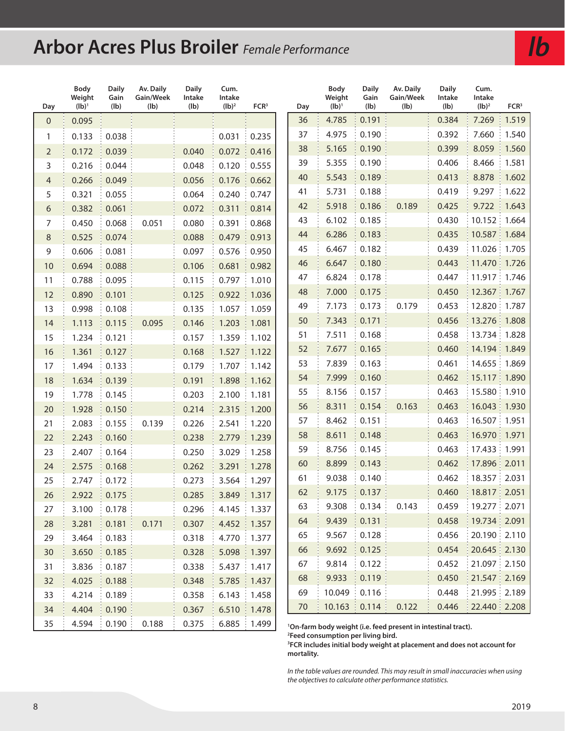# **Arbor Acres Plus Broiler** *Female Performance*

| Day            | Body<br>Weight<br>$(Ib)^1$ | <b>Daily</b><br>Gain<br>(lb) | Av. Daily<br>Gain/Week<br>(Ib) | <b>Daily</b><br>Intake<br>(Ib) | Cum.<br>Intake<br>$(Ib)^2$ | FCR <sup>3</sup>    | Day |    |        | <b>Daily</b><br>Gain<br>(Ib)      | Av. Daily<br>Gain/Week<br>(lb)                                            | <b>Daily</b><br>Intake<br>(Ib) | Cum.<br>Intake<br>$(Ib)^2$               | FCR <sup>3</sup> |
|----------------|----------------------------|------------------------------|--------------------------------|--------------------------------|----------------------------|---------------------|-----|----|--------|-----------------------------------|---------------------------------------------------------------------------|--------------------------------|------------------------------------------|------------------|
| $\mathbf{0}$   | 0.095                      |                              |                                |                                |                            |                     |     | 36 | 4.785  | 0.191                             |                                                                           | 0.384                          | 7.269                                    | 1.519            |
| 1              | 0.133                      | 0.038                        |                                |                                | 0.031                      | 0.235               |     | 37 | 4.975  | 0.190                             |                                                                           | 0.392                          | 7.660                                    | 1.540            |
| $\overline{2}$ | 0.172                      | 0.039                        |                                | 0.040                          | 0.072                      | 0.416<br>÷          |     | 38 | 5.165  | 0.190                             |                                                                           | 0.399                          | 8.059                                    | 1.560            |
| 3              | 0.216                      | 0.044                        |                                | 0.048                          | 0.120                      | 0.555               |     | 39 | 5.355  | 0.190                             |                                                                           | 0.406                          | 8.466                                    | 1.581            |
| 4              | 0.266                      | 0.049                        |                                | 0.056                          | 0.176                      | 0.662               |     | 40 | 5.543  | 0.189                             |                                                                           | 0.413                          | 8.878                                    | 1.602<br>÷.      |
| 5              | 0.321                      | 0.055                        |                                | 0.064                          | 0.240                      | 0.747               |     | 41 | 5.731  | 0.188                             |                                                                           | 0.419                          | 9.297                                    | 1.622            |
| 6              | 0.382                      | 0.061                        |                                | 0.072                          | 0.311                      | 0.814               |     | 42 | 5.918  | 0.186                             | 0.189                                                                     | 0.425                          | 9.722                                    | 1.643<br>÷       |
| 7              | 0.450                      | 0.068                        | 0.051                          | 0.080                          | 0.391                      | 0.868               |     | 43 | 6.102  | 0.185                             |                                                                           | 0.430                          | 10.152 1.664                             |                  |
| $\,8\,$        | 0.525                      | 0.074                        |                                | 0.088                          | 0.479                      | 0.913               |     | 44 | 6.286  | 0.183                             |                                                                           | 0.435                          | 10.587   1.684                           |                  |
| 9              | 0.606                      | 0.081                        |                                | 0.097                          | 0.576                      | 0.950               |     | 45 | 6.467  | 0.182                             |                                                                           | 0.439                          | 11.026   1.705                           |                  |
| 10             | 0.694                      | 0.088                        |                                | 0.106                          | 0.681                      | 0.982<br>÷          |     | 46 | 6.647  | 0.180                             |                                                                           | 0.443                          | 11.470   1.726                           |                  |
| 11             | 0.788                      | 0.095                        |                                | 0.115                          | 0.797                      | 1.010               |     | 47 | 6.824  | 0.178                             |                                                                           | 0.447                          | 11.917 : 1.746                           |                  |
| 12             | 0.890                      | 0.101                        |                                | 0.125                          | 0.922                      | 1.036<br>÷          |     | 48 | 7.000  | 0.175                             |                                                                           | 0.450                          | 12.367 1.767                             |                  |
| 13             | 0.998                      | 0.108                        |                                | 0.135                          | 1.057                      | 1.059               |     | 49 | 7.173  | 0.173                             | 0.179                                                                     | 0.453                          | 12.820   1.787                           |                  |
| 14             | 1.113                      | 0.115                        | 0.095                          | 0.146                          | 1.203                      | 1.081               |     | 50 | 7.343  | 0.171                             |                                                                           | 0.456                          | 13.276   1.808                           |                  |
| 15             | 1.234                      | 0.121                        |                                | 0.157                          | 1.359                      | 1.102               |     | 51 | 7.511  | 0.168                             |                                                                           | 0.458                          | 13.734 1.828                             |                  |
| 16             | 1.361                      | 0.127                        |                                | 0.168                          | 1.527                      | 1.122               |     | 52 | 7.677  | 0.165                             |                                                                           | 0.460                          | 14.194   1.849                           |                  |
| 17             | 1.494                      | 0.133                        |                                | 0.179                          | 1.707                      | 1.142<br>÷          |     | 53 | 7.839  | 0.163                             |                                                                           | 0.461                          | 14.655   1.869                           |                  |
| 18             | 1.634                      | 0.139                        |                                | 0.191                          | 1.898                      | 1.162               |     | 54 | 7.999  | 0.160                             |                                                                           | 0.462                          | 15.117   1.890                           |                  |
| 19             | 1.778                      | 0.145                        |                                | 0.203                          | 2.100                      | 1.181<br>÷          |     | 55 | 8.156  | 0.157                             |                                                                           | 0.463                          | 15.580   1.910                           |                  |
| 20             | 1.928                      | 0.150                        |                                | 0.214                          | 2.315                      | 1.200               |     | 56 | 8.311  | 0.154                             | 0.163                                                                     | 0.463                          | 16.043   1.930                           |                  |
| 21             | 2.083                      | 0.155                        | 0.139                          | 0.226                          | 2.541                      | 1.220               |     | 57 | 8.462  | 0.151                             |                                                                           | 0.463                          | 16.507   1.951                           |                  |
| 22             | 2.243                      | 0.160                        |                                | 0.238                          | 2.779                      | 1.239<br>÷          |     | 58 | 8.611  | 0.148                             |                                                                           | 0.463                          | 16.970 1.971                             |                  |
| 23             | 2.407                      | 0.164                        |                                | 0.250                          | 3.029                      | 1.258               |     | 59 | 8.756  | 0.145                             |                                                                           | 0.463                          | 17.433   1.991                           |                  |
| 24             | 2.575                      | 0.168                        |                                | 0.262                          | 3.291                      | 1.278<br>÷          |     | 60 | 8.899  | 0.143                             |                                                                           | 0.462                          | 17.896 2.011                             |                  |
| 25             | 2.747                      | 0.172                        |                                | 0.273                          | 3.564                      | 1.297               |     | 61 | 9.038  | 0.140                             |                                                                           | 0.462                          | 18.357   2.031                           |                  |
| 26             | 2.922                      | 0.175                        |                                | 0.285                          | 3.849                      | $\frac{1}{2}$ 1.317 |     | 62 | 9.175  | 0.137                             |                                                                           | 0.460                          | 18.817   2.051                           |                  |
| 27             | 3.100                      | 0.178                        |                                | 0.296                          | $4.145 \div 1.337$         |                     |     | 63 | 9.308  | 0.134                             | 0.143                                                                     | 0.459                          | $\frac{1}{2}$ 19.277 $\frac{1}{2}$ 2.071 |                  |
| 28             | 3.281                      | 0.181                        | 0.171                          | 0.307                          |                            | 4.452 1.357         |     | 64 | 9.439  | 0.131                             |                                                                           | 0.458                          | $\frac{1}{2}$ 19.734 $\frac{1}{2}$ 2.091 |                  |
| 29             | 3.464                      | 0.183                        |                                | 0.318                          |                            | 4.770 1.377         |     | 65 | 9.567  | 0.128                             |                                                                           | 0.456                          | 20.190   2.110                           |                  |
| 30             | 3.650                      | 0.185                        |                                | 0.328                          | 5.098                      | $\frac{1}{2}$ 1.397 |     | 66 | 9.692  | 0.125                             |                                                                           | 0.454                          | $\frac{1}{2}$ 20.645 $\frac{1}{2}$ 2.130 |                  |
| 31             | 3.836                      | 0.187:                       |                                | 0.338                          |                            | $5.437 \div 1.417$  |     | 67 | 9.814  | 0.122                             |                                                                           | 0.452                          | 21.097   2.150                           |                  |
| 32             | 4.025                      | 0.188                        |                                | 0.348                          | 5.785                      | $\frac{1}{2}$ 1.437 |     | 68 | 9.933  | 0.119                             |                                                                           | 0.450                          | 21.547   2.169                           |                  |
| 33             | 4.214                      | 0.189                        |                                | 0.358                          | 6.143                      | 1.458               |     | 69 | 10.049 | $\frac{1}{2}$ 0.116               |                                                                           | 0.448                          | : 21.995 : 2.189                         |                  |
| 34             | 4.404                      | 0.190                        |                                | 0.367                          |                            | $6.510 \div 1.478$  |     | 70 | 10.163 | $\frac{1}{2}$ 0.114 $\frac{1}{2}$ | 0.122                                                                     | 0.446                          | $\frac{1}{2}$ 22.440 $\frac{1}{2}$ 2.208 |                  |
| 35             | 4.594                      | 0.190:                       | 0.188                          | 0.375                          |                            | 6.885 : 1.499       |     |    |        |                                   | <sup>1</sup> On-farm body weight (i.e. feed present in intestinal tract). |                                |                                          |                  |

**On-farm body weight (i.e. feed present in intestinal tract). Feed consumption per living bird.**

 **FCR includes initial body weight at placement and does not account for mortality.**

*In the table values are rounded. This may result in small inaccuracies when using the objectives to calculate other performance statistics.*

*lb*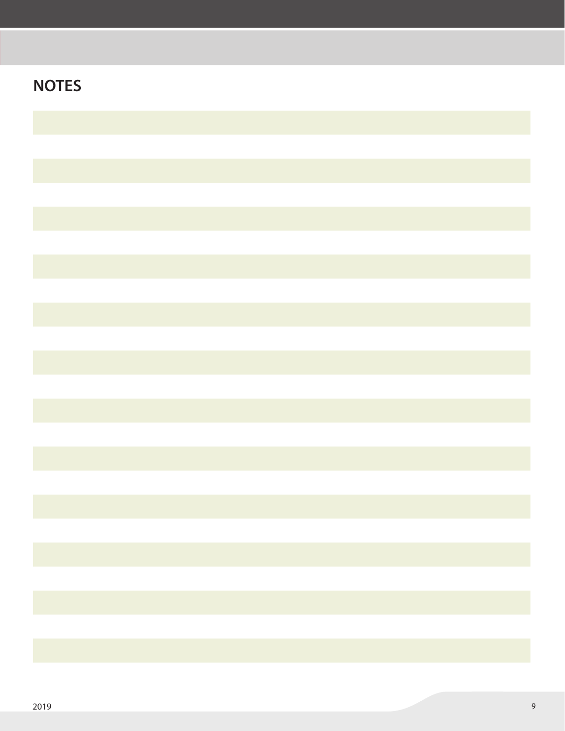| <b>NOTES</b> |  |
|--------------|--|
|              |  |
|              |  |
|              |  |
|              |  |
|              |  |
|              |  |
|              |  |
|              |  |
|              |  |
|              |  |
|              |  |
|              |  |
|              |  |
|              |  |
|              |  |
|              |  |
|              |  |
|              |  |
|              |  |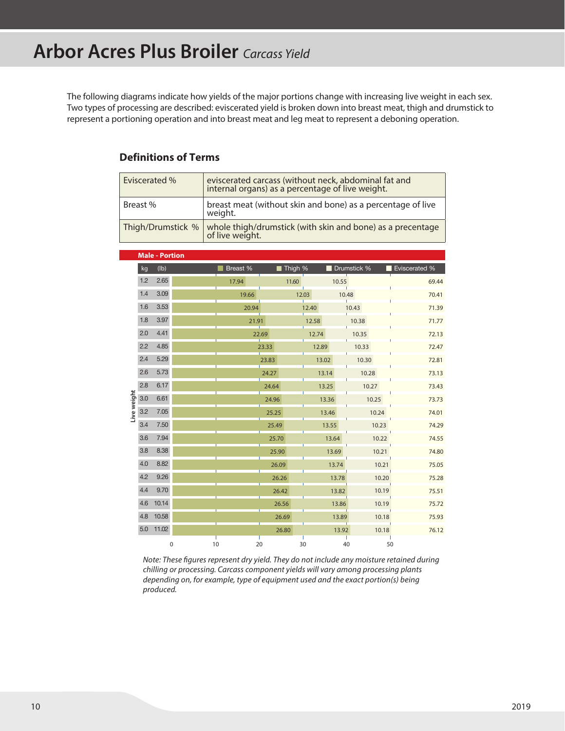The following diagrams indicate how yields of the major portions change with increasing live weight in each sex. Two types of processing are described: eviscerated yield is broken down into breast meat, thigh and drumstick to represent a portioning operation and into breast meat and leg meat to represent a deboning operation.

#### **Definitions of Terms**

| Eviscerated % | eviscerated carcass (without neck, abdominal fat and<br>internal organs) as a percentage of live weight. |
|---------------|----------------------------------------------------------------------------------------------------------|
| Breast %      | breast meat (without skin and bone) as a percentage of live<br>weight.                                   |
|               | Thigh/Drumstick % whole thigh/drumstick (with skin and bone) as a precentage<br>of live weight.          |

|             |     | <b>Male - Portion</b> |    |          |       |         |       |       |             |       |                      |
|-------------|-----|-----------------------|----|----------|-------|---------|-------|-------|-------------|-------|----------------------|
|             | kg  | (lb)                  |    | Breast % |       | Thigh % |       |       | Drumstick % |       | <b>Eviscerated %</b> |
|             | 1.2 | 2.65                  |    | 17.94    |       | 11.60   |       | 10.55 |             |       | 69.44                |
|             | 1.4 | 3.09                  |    | 19.66    |       |         | 12.03 | 10.48 |             |       | 70.41                |
|             | 1.6 | 3.53                  |    | 20.94    |       |         | 12.40 |       | 10.43       |       | 71.39                |
|             | 1.8 | 3.97                  |    | 21.91    |       |         | 12.58 |       | 10.38       |       | 71.77                |
|             | 2.0 | 4.41                  |    |          | 22.69 |         | 12.74 |       | 10.35       |       | 72.13                |
|             | 2.2 | 4.85                  |    |          | 23.33 |         | 12.89 |       | 10.33       |       | 72.47                |
|             | 2.4 | 5.29                  |    |          | 23.83 |         | 13.02 |       | 10.30       |       | 72.81                |
|             | 2.6 | 5.73                  |    |          | 24.27 |         |       | 13.14 | 10.28       |       | 73.13                |
|             | 2.8 | 6.17                  |    |          | 24.64 |         |       | 13.25 | 10.27       |       | 73.43                |
| Live weight | 3.0 | 6.61                  |    |          | 24.96 |         |       | 13.36 |             | 10.25 | 73.73                |
|             | 3.2 | 7.05                  |    |          | 25.25 |         |       | 13.46 |             | 10.24 | 74.01                |
|             | 3.4 | 7.50                  |    |          | 25.49 |         |       | 13.55 |             | 10.23 | 74.29                |
|             | 3.6 | 7.94                  |    |          | 25.70 |         |       | 13.64 |             | 10.22 | 74.55                |
|             | 3.8 | 8.38                  |    |          | 25.90 |         |       | 13.69 |             | 10.21 | 74.80                |
|             | 4.0 | 8.82                  |    |          | 26.09 |         |       | 13.74 |             | 10.21 | 75.05                |
|             | 4.2 | 9.26                  |    |          | 26.26 |         |       | 13.78 |             | 10.20 | 75.28                |
|             | 4.4 | 9.70                  |    |          | 26.42 |         |       | 13.82 |             | 10.19 | 75.51                |
|             | 4.6 | 10.14                 |    |          | 26.56 |         |       | 13.86 |             | 10.19 | 75.72                |
|             | 4.8 | 10.58                 |    |          | 26.69 |         |       | 13.89 |             | 10.18 | 75.93                |
|             | 5.0 | 11.02                 |    |          | 26.80 |         |       | 13.92 |             | 10.18 | 76.12                |
|             |     | $\pmb{0}$             | 10 | 20       |       |         | 30    | 40    |             | 50    |                      |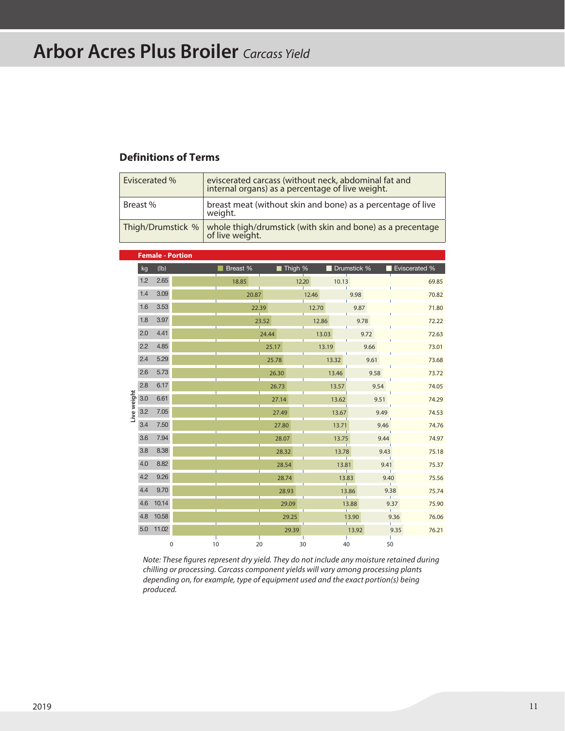### **Arbor Acres Plus Broiler** *Carcass Yield*

#### **Definitions of Terms**

| Eviscerated % | eviscerated carcass (without neck, abdominal fat and<br>internal organs) as a percentage of live weight. |
|---------------|----------------------------------------------------------------------------------------------------------|
| Breast %      | breast meat (without skin and bone) as a percentage of live<br>weight.                                   |
|               | Thigh/Drumstick % whole thigh/drumstick (with skin and bone) as a precentage<br>of live weight.          |

|             |     | <b>Female - Portion</b> |    |          |       |         |       |       |             |      |               |
|-------------|-----|-------------------------|----|----------|-------|---------|-------|-------|-------------|------|---------------|
|             | kg  | (lb)                    |    | Breast % |       | Thigh % |       |       | Drumstick % |      | Eviscerated % |
|             | 1.2 | 2.65                    |    | 18.85    |       | 12.20   |       | 10.13 |             |      | 69.85         |
|             | 1.4 | 3.09                    |    | 20.87    |       |         | 12.46 |       | 9.98        |      | 70.82         |
|             | 1.6 | 3.53                    |    |          | 22.39 |         | 12.70 |       | 9.87        |      | 71.80         |
|             | 1.8 | 3.97                    |    |          | 23.52 |         | 12.86 |       | 9.78        |      | 72.22         |
|             | 2.0 | 4.41                    |    |          | 24.44 |         | 13.03 |       | 9.72        |      | 72.63         |
|             | 2.2 | 4.85                    |    |          | 25.17 |         | 13.19 |       | 9.66        |      | 73.01         |
|             | 2.4 | 5.29                    |    |          | 25.78 |         |       | 13.32 | 9.61        |      | 73.68         |
| Live weight | 2.6 | 5.73                    |    |          | 26.30 |         |       | 13.46 | 9.58        |      | 73.72         |
|             | 2.8 | 6.17                    |    |          | 26.73 |         |       | 13.57 |             | 9.54 | 74.05         |
|             | 3.0 | 6.61                    |    |          | 27.14 |         |       | 13.62 |             | 9.51 | 74.29         |
|             | 3.2 | 7.05                    |    |          | 27.49 |         |       | 13.67 |             | 9.49 | 74.53         |
|             | 3.4 | 7.50                    |    |          | 27.80 |         |       | 13.71 |             | 9.46 | 74.76         |
|             | 3.6 | 7.94                    |    |          | 28.07 |         |       | 13.75 |             | 9.44 | 74.97         |
|             | 3.8 | 8.38                    |    |          | 28.32 |         |       | 13.78 |             | 9.43 | 75.18         |
|             | 4.0 | 8.82                    |    |          | 28.54 |         |       | 13.81 |             | 9.41 | 75.37         |
|             | 4.2 | 9.26                    |    |          | 28.74 |         |       | 13.83 |             | 9.40 | 75.56         |
|             | 4.4 | 9.70                    |    |          | 28.93 |         |       | 13.86 |             | 9.38 | 75.74         |
|             | 4.6 | 10.14                   |    |          |       | 29.09   |       | 13.88 |             | 9.37 | 75.90         |
|             | 4.8 | 10.58                   |    |          |       | 29.25   |       |       | 13.90       | 9.36 | 76.06         |
|             | 5.0 | 11.02                   |    |          |       | 29.39   |       |       | 13.92       | 9.35 | 76.21         |
|             |     | 0                       | 10 |          | 20    | 30      |       | 40    |             | 50   |               |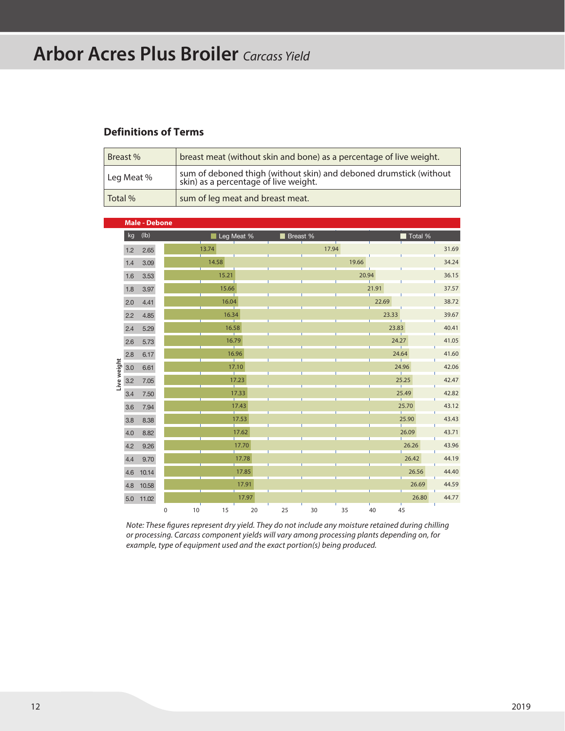# **Arbor Acres Plus Broiler** *Carcass Yield*

#### **Definitions of Terms**

| Breast %   | breast meat (without skin and bone) as a percentage of live weight.                                      |  |  |  |  |  |  |  |
|------------|----------------------------------------------------------------------------------------------------------|--|--|--|--|--|--|--|
| Leg Meat % | sum of deboned thigh (without skin) and deboned drumstick (without skin) as a percentage of live weight. |  |  |  |  |  |  |  |
| Total %    | sum of leg meat and breast meat.                                                                         |  |  |  |  |  |  |  |

|             |     | <b>Male - Debone</b> |   |       |            |            |    |          |       |       |         |       |
|-------------|-----|----------------------|---|-------|------------|------------|----|----------|-------|-------|---------|-------|
|             | kg  | (lb)                 |   |       |            | Leg Meat % |    | Breast % |       |       | Total % |       |
|             | 1.2 | 2.65                 |   | 13.74 |            |            |    | 17.94    |       |       |         | 31.69 |
|             | 1.4 | 3.09                 |   | 14.58 |            |            |    |          | 19.66 |       |         | 34.24 |
|             | 1.6 | 3.53                 |   |       | 15.21      |            |    |          | 20.94 |       |         | 36.15 |
|             | 1.8 | 3.97                 |   |       | 15.66      |            |    |          |       | 21.91 |         | 37.57 |
|             | 2.0 | 4.41                 |   |       | 16.04      |            |    |          |       | 22.69 |         | 38.72 |
|             | 2.2 | 4.85                 |   |       | 16.34      |            |    |          |       | 23.33 |         | 39.67 |
|             | 2.4 | 5.29                 |   |       | 16.58<br>T |            |    |          |       | 23.83 |         | 40.41 |
|             | 2.6 | 5.73                 |   |       | 16.79      |            |    |          |       | 24.27 |         | 41.05 |
|             | 2.8 | 6.17                 |   |       |            | 16.96      |    |          |       | 24.64 |         | 41.60 |
| Live weight | 3.0 | 6.61                 |   |       |            | 17.10      |    |          |       |       | 24.96   | 42.06 |
|             | 3.2 | 7.05                 |   |       |            | 17.23      |    |          |       |       | 25.25   | 42.47 |
|             | 3.4 | 7.50                 |   |       |            | 17.33      |    |          |       |       | 25.49   | 42.82 |
|             | 3.6 | 7.94                 |   |       |            | 17.43      |    |          |       |       | 25.70   | 43.12 |
|             | 3.8 | 8.38                 |   |       | T          | 17.53      |    |          |       |       | 25.90   | 43.43 |
|             | 4.0 | 8.82                 |   |       | Ŷ.         | 17.62      |    |          |       |       | 26.09   | 43.71 |
|             | 4.2 | 9.26                 |   |       |            | 17.70      |    |          |       |       | 26.26   | 43.96 |
|             | 4.4 | 9.70                 |   |       |            | 17.78      |    |          |       |       | 26.42   | 44.19 |
|             | 4.6 | 10.14                |   |       |            | 17.85      |    |          |       |       | 26.56   | 44.40 |
|             | 4.8 | 10.58                |   |       |            | 17.91      |    |          |       |       | 26.69   | 44.59 |
|             | 5.0 | 11.02                |   |       |            | 17.97      |    |          |       |       | 26.80   | 44.77 |
|             |     |                      | 0 | 10    | 15         | 20         | 25 | 30       | 35    | 40    | 45      |       |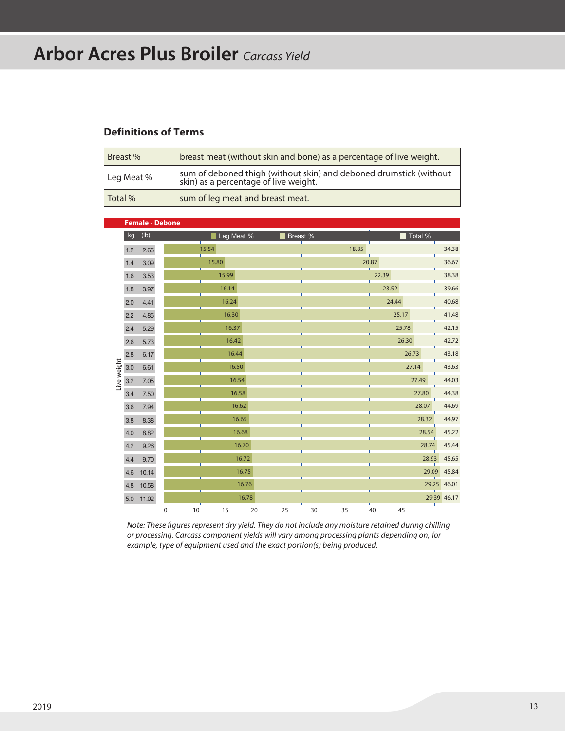# **Arbor Acres Plus Broiler** *Carcass Yield*

#### **Definitions of Terms**

| Breast %   | breast meat (without skin and bone) as a percentage of live weight.                                      |  |  |  |  |  |  |  |
|------------|----------------------------------------------------------------------------------------------------------|--|--|--|--|--|--|--|
| Leg Meat % | sum of deboned thigh (without skin) and deboned drumstick (without skin) as a percentage of live weight. |  |  |  |  |  |  |  |
| Total %    | sum of leg meat and breast meat.                                                                         |  |  |  |  |  |  |  |

|             |     | <b>Female - Debone</b> |   |    |       |             |          |    |    |       |       |         |             |             |
|-------------|-----|------------------------|---|----|-------|-------------|----------|----|----|-------|-------|---------|-------------|-------------|
|             | kg  | (Ib)                   |   |    |       | Leg Meat %  | Breast % |    |    |       |       | Total % |             |             |
|             | 1.2 | 2.65                   |   |    | 15.54 |             |          |    |    | 18.85 |       |         |             | 34.38       |
|             | 1.4 | 3.09                   |   |    | 15.80 |             |          |    |    | 20.87 |       |         |             | 36.67       |
|             | 1.6 | 3.53                   |   |    | 15.99 |             |          |    |    |       | 22.39 |         |             | 38.38       |
|             | 1.8 | 3.97                   |   |    | 16.14 |             |          |    |    |       | 23.52 |         |             | 39.66       |
|             | 2.0 | 4.41                   |   |    | 16.24 |             |          |    |    |       | 24.44 |         |             | 40.68       |
|             | 2.2 | 4.85                   |   |    | 16.30 |             |          |    |    |       | 25.17 |         |             | 41.48       |
|             | 2.4 | 5.29                   |   |    |       | 16.37<br>т  |          |    |    |       |       | 25.78   |             | 42.15       |
|             | 2.6 | 5.73                   |   |    |       | 16.42<br>T. |          |    |    |       |       | 26.30   |             | 42.72       |
|             | 2.8 | 6.17                   |   |    |       | 16.44       |          |    |    |       |       | 26.73   |             | 43.18       |
| Live weight | 3.0 | 6.61                   |   |    |       | 16.50<br>T. |          |    |    |       |       | 27.14   |             | 43.63       |
|             | 3.2 | 7.05                   |   |    |       | 16.54<br>T. |          |    |    |       |       | 27.49   |             | 44.03       |
|             | 3.4 | 7.50                   |   |    |       | 16.58       |          |    |    |       |       |         | 27.80       | 44.38       |
|             | 3.6 | 7.94                   |   |    |       | 16.62       |          |    |    |       |       |         | 28.07       | 44.69       |
|             | 3.8 | 8.38                   |   |    |       | 16.65<br>т  |          |    |    |       |       |         | 28.32       | 44.97       |
|             | 4.0 | 8.82                   |   |    |       | 16.68<br>Ē  |          |    |    |       |       |         | 28.54       | 45.22       |
|             | 4.2 | 9.26                   |   |    |       | 16.70       |          |    |    |       |       |         | 28.74       | 45.44       |
|             | 4.4 | 9.70                   |   |    |       | 16.72       |          |    |    |       |       |         | 28.93       | 45.65       |
|             | 4.6 | 10.14                  |   |    |       | 16.75       |          |    |    |       |       |         | 29.09       | 45.84       |
|             | 4.8 | 10.58                  |   |    |       | 16.76       |          |    |    |       |       |         | 29.25 46.01 |             |
|             | 5.0 | 11.02                  |   |    |       | 16.78       |          |    |    |       |       |         |             | 29.39 46.17 |
|             |     |                        | 0 | 10 | 15    | 20          | 25       | 30 | 35 | 40    |       | 45      |             |             |